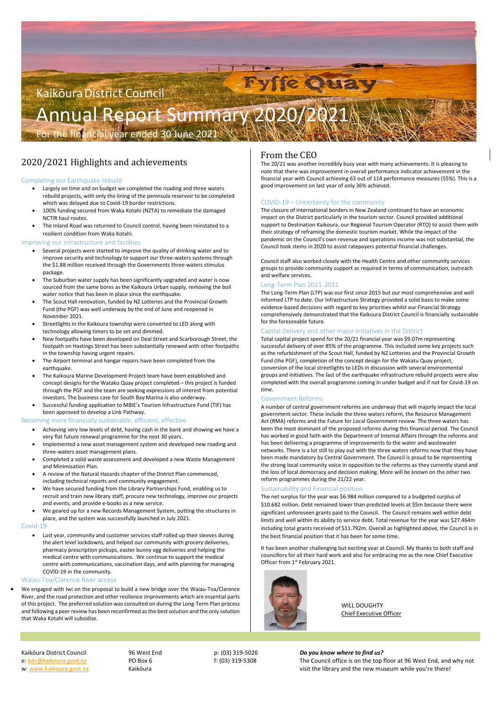# Kaikōura District Council Annual Report Summary 2020/20

For the financial year ended 30 June 2021

# 2020/2021 Highlights and achievements

# Completing our Earthquake rebuild

- Largely on time and on budget we completed the roading and three waters rebuild projects, with only the lining of the peninsula reservoir to be completed which was delayed due to Covid‐19 border restrictions.
- 100% funding secured from Waka Kotahi (NZTA) to remediate the damaged NCTIR haul routes.
- The Inland Road was returned to Council control, having been reinstated to a resilient condition from Waka Kotahi.

# Improving our infrastructure and facilities

- Several projects were started to improve the quality of drinking water and to improve security and technology to support our three‐waters systems through the \$1.88 million received through the Governments three‐waters stimulus package.
- The Suburban water supply has been significantly upgraded and water is now sourced from the same bores as the Kaikoura Urban supply, removing the boil water notice that has been in place since the earthquake.
- The Scout Hall renovation, funded by NZ Lotteries and the Provincial Growth Fund (the PGF) was well underway by the end of June and reopened in November 2021.
- Streetlights in the Kaikoura township were converted to LED along with technology allowing timers to be set and dimmed.
- New footpaths have been developed on Deal Street and Scarborough Street, the footpath on Hastings Street has been substantially renewed with other footpaths in the township having urgent repairs.
- The Airport terminal and hangar repairs have been completed from the earthquake.
- The Kaikoura Marine Development Project team have been established and concept designs for the Wataku Quay project completed – this project is funded through the PGF and the team are seeking expressions of interest from potential investors. The business case for South Bay Marina is also underway.
- Successful funding application to MBIE's Tourism Infrastructure Fund (TIF) has been approved to develop a Link Pathway.

We engaged with Iwi on the proposal to build a new bridge over the Waiau-Toa/Clarence River, and the road protection and other resilience improvements which are essential parts of this project. The preferred solution was consulted on during the Long‐Term Plan process and following a peer review has been reconfirmed as the best solution and the only solution that Waka Kotahi will subsidise.

# Becoming more financially sustainable, efficient, effective

- Achieving very low levels of debt, having cash in the bank and showing we have a very flat future renewal programme for the next 30 years.
- Implemented a new asset management system and developed new roading and three‐waters asset management plans.
- Completed a solid waste assessment and developed a new Waste Management and Minimisation Plan.
- A review of the Natural Hazards chapter of the District Plan commenced, including technical reports and community engagement.
- We have secured funding from the Library Partnerships Fund, enabling us to recruit and train new library staff, procure new technology, improve our projects and events, and provide e‐books as a new service.
- We geared up for a new Records Management System, putting the structures in place, and the system was successfully launched in July 2021.

### Covid‐19

 Last year, community and customer services staff rolled up their sleeves during the alert level lockdowns, and helped our community with grocery deliveries, pharmacy prescription pickups, easter bunny egg deliveries and helping the medical centre with communications. We continue to support the medical centre with communications, vaccination days, and with planning for managing COVID‐19 in the community.

### Waiau‐Toa/Clarence River access

It has been another challenging but exciting year at Council. My thanks to both staff and councillors for all their hard work and also for embracing me as the new Chief Executive Officer from 1<sup>st</sup> February 2021.



# From the CEO

e: kdc@kaikoura.govt.nz PO Box 6 f: (03) 319‐5308 The Council office is on the top floor at 96 West End, and why not w: www.kaikoura.govt.nz **State of the Constanting Constanting Constanting Constanting Constanting Constanting Constanting Constanting Constanting Constanting Constanting Constanting Constanting Constanting Constanting Cons** 

The 20/21 was another incredibly busy year with many achievements. It is pleasing to note that there was improvement in overall performance indicator achievement in the financial year with Council achieving 63 out of 114 performance measures (55%). This is a good improvement on last year of only 36% achieved.

# COVID‐19 – Uncertainty for the community

The closure of international borders in New Zealand continued to have an economic impact on the District particularly in the tourism sector. Council provided additional support to Destination Kaikoura, our Regional Tourism Operator (RTO) to assist them with their strategy of reframing the domestic tourism market. While the impact of the pandemic on the Council's own revenue and operations income was not substantial, the Council took stems in 2020 to assist ratepayers potential financial challenges.

Council staff also worked closely with the Health Centre and other community services groups to provide community support as required in terms of communication, outreach and welfare services.

# Long‐Term Plan 2021‐2031

The Long‐Term Plan (LTP) was our first since 2015 but our most comprehensive and well informed LTP to date. Our Infrastructure Strategy provided a solid basis to make some evidence‐based decisions with regard to key priorities whilst our Financial Strategy comprehensively demonstrated that the Kaikoura District Council is financially sustainable for the foreseeable future.

# Capital Delivery and other major initiatives in the District

Total capital project spend for the 20/21 financial year was \$9.07m representing successful delivery of over 85% of the programme. This included some key projects such as the refurbishment of the Scout Hall, funded by NZ Lotteries and the Provincial Growth Fund (the PGF), completion of the concept design for the Wakatu Quay project, conversion of the local streetlights to LEDs in discussion with several environmental groups and initiatives. The last of the earthquake infrastructure rebuild projects were also completed with the overall programme coming in under budget and if not for Covid‐19 on time.

# Government Reforms

A number of central government reforms are underway that will majorly impact the local government sector. These include the three waters reform, the Resource Management Act (RMA) reforms and the Future for Local Government review. The three waters has been the most dominant of the proposed reforms during this financial period. The Council has worked in good faith with the Department of Internal Affairs through the reforms and has been delivering a programme of improvements to the water and wastewater networks. There is a lot still to play out with the three waters reforms now that they have been made mandatory by Central Government. The Council is proud to be representing the strong local community voice in opposition to the reforms as they currently stand and the loss of local democracy and decision making. More will be known on the other two reform programmes during the 21/22 year.

# Sustainability and Financial position

The net surplus for the year was \$6.984 million compared to a budgeted surplus of \$10.682 million. Debt remained lower than predicted levels at \$5m because there were significant unforeseen grants paid to the Council. The Council remains well within debt limits and well within its ability to service debt. Total revenue for the year was \$27.464m including total grants received of \$11.792m. Overall as highlighted above, the Council is in

the best financial position that it has been for some time.

WILL DOUGHTY Chief Executive Officer

### Kaikōura District Council  **96 West End p:** (03) 319-5026 **Do you know where to find us?**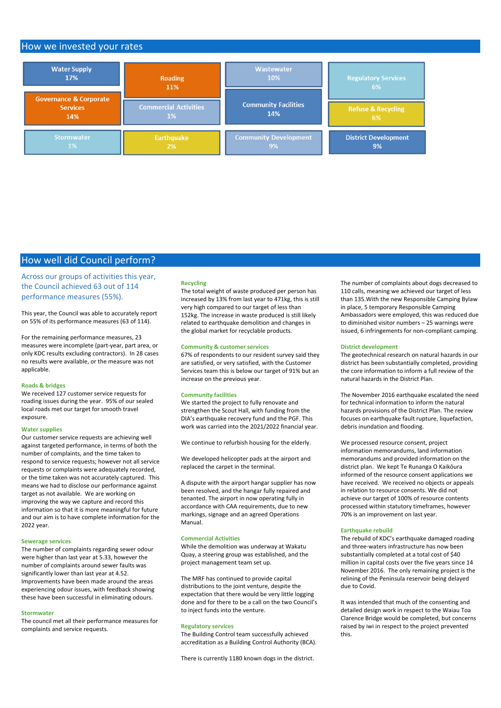# How we invested your rates



# How well did Council perform?

Across our groups of activities this year, the Council achieved 63 out of 114 performance measures (55%).

This year, the Council was able to accurately report on 55% of its performance measures (63 of 114).

For the remaining performance measures, 23 measures were incomplete (part‐year, part area, or only KDC results excluding contractors). In 28 cases no results were available, or the measure was not applicable.

### **Roads & bridges**

We received 127 customer service requests for roading issues during the year. 95% of our sealed local roads met our target for smooth travel exposure.

### **Water supplies**

Our customer service requests are achieving well against targeted performance, in terms of both the number of complaints, and the time taken to respond to service requests; however not all service requests or complaints were adequately recorded, or the time taken was not accurately captured. This means we had to disclose our performance against target as not available. We are working on improving the way we capture and record this information so that it is more meaningful for future and our aim is to have complete information for the 2022 year.

#### **Sewerage services**

The number of complaints regarding sewer odour were higher than last year at 5.33, however the number of complaints around sewer faults was significantly lower than last year at 4.52. Improvements have been made around the areas experiencing odour issues, with feedback showing these have been successful in eliminating odours.

#### **Stormwater**

The council met all their performance measures for complaints and service requests.

### **Recycling**

The total weight of waste produced per person has increased by 13% from last year to 471kg, this is still very high compared to our target of less than 152kg. The increase in waste produced is still likely related to earthquake demolition and changes in the global market for recyclable products.

### **Community & customer services**

67% of respondents to our resident survey said they are satisfied, or very satisfied, with the Customer Services team this is below our target of 91% but an increase on the previous year.

### **Community facilities**

We started the project to fully renovate and strengthen the Scout Hall, with funding from the DIA's earthquake recovery fund and the PGF. This work was carried into the 2021/2022 financial year.

We continue to refurbish housing for the elderly.

We developed helicopter pads at the airport and replaced the carpet in the terminal.

A dispute with the airport hangar supplier has now been resolved, and the hangar fully repaired and tenanted. The airport in now operating fully in accordance with CAA requirements, due to new markings, signage and an agreed Operations Manual.

### **Commercial Activities**

While the demolition was underway at Wakatu Quay, a steering group was established, and the project management team set up.

The MRF has continued to provide capital distributions to the joint venture, despite the expectation that there would be very little logging done and for there to be a call on the two Council's to inject funds into the venture.

### **Regulatory services**

The Building Control team successfully achieved accreditation as a Building Control Authority (BCA).

There is currently 1180 known dogs in the district.

The number of complaints about dogs decreased to 110 calls, meaning we achieved our target of less than 135.With the new Responsible Camping Bylaw in place, 5 temporary Responsible Camping Ambassadors were employed, this was reduced due to diminished visitor numbers – 25 warnings were issued, 6 infringements for non‐compliant camping.

#### **District development**

The geotechnical research on natural hazards in our district has been substantially completed, providing the core information to inform a full review of the natural hazards in the District Plan.

The November 2016 earthquake escalated the need for technical information to inform the natural hazards provisions of the District Plan. The review focuses on earthquake fault rupture, liquefaction, debris inundation and flooding.

We processed resource consent, project information memorandums, land information memorandums and provided information on the district plan. We kept Te Runanga O Kaikōura informed of the resource consent applications we have received. We received no objects or appeals in relation to resource consents. We did not achieve our target of 100% of resource contents processed within statutory timeframes, however 70% is an improvement on last year.

#### **Earthquake rebuild**

The rebuild of KDC's earthquake damaged roading and three‐waters infrastructure has now been substantially completed at a total cost of \$40 million in capital costs over the five years since 14 November 2016. The only remaining project is the relining of the Peninsula reservoir being delayed due to Covid.

It was intended that much of the consenting and detailed design work in respect to the Waiau Toa Clarence Bridge would be completed, but concerns raised by iwi in respect to the project prevented this.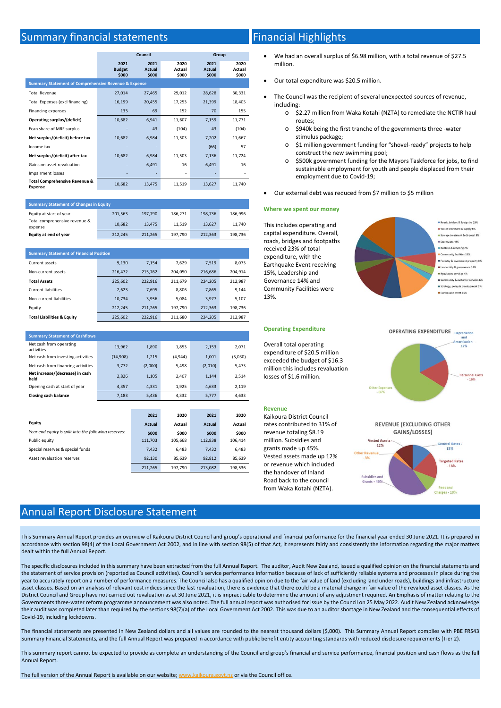# Summary financial statements

|                                                                 | Council                        |                                | Group                          |                                |                         |
|-----------------------------------------------------------------|--------------------------------|--------------------------------|--------------------------------|--------------------------------|-------------------------|
|                                                                 | 2021<br><b>Budget</b><br>\$000 | 2021<br><b>Actual</b><br>\$000 | 2020<br><b>Actual</b><br>\$000 | 2021<br><b>Actual</b><br>\$000 | 2020<br>Actual<br>\$000 |
| <b>Summary Statement of Comprehensive Revenue &amp; Expense</b> |                                |                                |                                |                                |                         |
| <b>Total Revenue</b>                                            | 27,014                         | 27,465                         | 29,012                         | 28,628                         | 30,331                  |
| Total Expenses (excl financing)                                 | 16,199                         | 20,455                         | 17,253                         | 21,399                         | 18,405                  |
| <b>Financing expenses</b>                                       | 133                            | 69                             | 152                            | 70                             | 155                     |
| Operating surplus/(deficit)                                     | 10,682                         | 6,941                          | 11,607                         | 7,159                          | 11,771                  |
| Ecan share of MRF surplus                                       |                                | 43                             | (104)                          | 43                             | (104)                   |
| Net surplus/(deficit) before tax                                | 10,682                         | 6,984                          | 11,503                         | 7,202                          | 11,667                  |
| Income tax                                                      |                                |                                |                                | (66)                           | 57                      |
| Net surplus/(deficit) after tax                                 | 10,682                         | 6,984                          | 11,503                         | 7,136                          | 11,724                  |
| Gains on asset revaluation                                      |                                | 6,491                          | 16                             | 6,491                          | 16                      |
| <b>Impairment losses</b>                                        |                                |                                |                                |                                |                         |
| <b>Total Comprehensive Revenue &amp;</b><br><b>Expense</b>      | 10,682                         | 13,475                         | 11,519                         | 13,627                         | 11,740                  |

| <b>Summary Statement of Changes in Equity</b> |         |         |         |         |         |
|-----------------------------------------------|---------|---------|---------|---------|---------|
| Equity at start of year                       | 201,563 | 197,790 | 186,271 | 198,736 | 186,996 |
| Total comprehensive revenue &<br>expense      | 10,682  | 13.475  | 11.519  | 13,627  | 11,740  |
| Equity at end of year                         | 212,245 | 211,265 | 197,790 | 212,363 | 198,736 |

| <b>Summary Statement of Financial Position</b> |         |         |         |         |         |
|------------------------------------------------|---------|---------|---------|---------|---------|
| Current assets                                 | 9,130   | 7.154   | 7.629   | 7.519   | 8.073   |
| Non-current assets                             | 216.472 | 215.762 | 204.050 | 216.686 | 204.914 |
| <b>Total Assets</b>                            | 225.602 | 222.916 | 211.679 | 224.205 | 212.987 |
| <b>Current liabilities</b>                     | 2,623   | 7,695   | 8,806   | 7,865   | 9.144   |
| Non-current liabilities                        | 10.734  | 3,956   | 5,084   | 3.977   | 5,107   |
| Equity                                         | 212.245 | 211.265 | 197.790 | 212.363 | 198.736 |
| <b>Total Liabilities &amp; Equity</b>          | 225.602 | 222.916 | 211,680 | 224.205 | 212.987 |

| <b>Summary Statement of Cashflows</b>   |          |         |         |         |         |
|-----------------------------------------|----------|---------|---------|---------|---------|
| Net cash from operating<br>activities   | 13,962   | 1,890   | 1,853   | 2,153   | 2,071   |
| Net cash from investing activities      | (14,908) | 1,215   | (4,944) | 1,001   | (5,030) |
| Net cash from financing activities      | 3,772    | (2,000) | 5,498   | (2,010) | 5,473   |
| Net increase/(decrease) in cash<br>held | 2.826    | 1,105   | 2,407   | 1,144   | 2,514   |
| Opening cash at start of year           | 4,357    | 4,331   | 1,925   | 4,633   | 2,119   |
| <b>Closing cash balance</b>             | 7,183    | 5,436   | 4,332   | 5,777   | 4,633   |
|                                         |          |         |         |         |         |

|                                                       | 2021    | 2020    | 2021          | 2020    |
|-------------------------------------------------------|---------|---------|---------------|---------|
| <b>Equity</b>                                         | Actual  | Actual  | <b>Actual</b> | Actual  |
| Year end equity is split into the following reserves: | \$000   | \$000   | \$000         | \$000   |
| Public equity                                         | 111,703 | 105,668 | 112,838       | 106,414 |
| Special reserves & special funds                      | 7,432   | 6,483   | 7,432         | 6,483   |
| Asset revaluation reserves                            | 92,130  | 85,639  | 92,812        | 85,639  |
|                                                       | 211,265 | 197,790 | 213,082       | 198,536 |

# Financial Highlights

- We had an overall surplus of \$6.98 million, with a total revenue of \$27.5 million.
- Our total expenditure was \$20.5 million.
- The Council was the recipient of several unexpected sources of revenue, including:
	- o \$2.27 million from Waka Kotahi (NZTA) to remediate the NCTIR haul routes;
	- o \$940k being the first tranche of the governments three ‐water stimulus package;
	- o \$1 million government funding for "shovel‐ready" projects to help construct the new swimming pool;
	- o \$500k government funding for the Mayors Taskforce for jobs, to find sustainable employment for youth and people displaced from their employment due to Covid‐19;
- Our external debt was reduced from \$7 million to \$5 million

### **Where we spent our money**

This includes operating and capital expenditure. Overall, roads, bridges and footpaths received 23% of total expenditure, with the Earthquake Event receiving 15%, Leadership and Governance 14% and Community Facilities were 13%.



### **Operating Expenditure**

Overall total operating expenditure of \$20.5 million exceeded the budget of \$16.3 million this includes revaluation losses of \$1.6 million.

### **Revenue**

Kaikoura District Council rates contributed to 31% of revenue totaling \$8.19 million. Subsidies and grants made up 45%. Vested assets made up 12% or revenue which included the handover of Inland Road back to the council from Waka Kotahi (NZTA).





This Summary Annual Report provides an overview of Kaikōura District Council and group's operational and financial performance for the financial year ended 30 June 2021. It is prepared in accordance with section 98(4) of the Local Government Act 2002, and in line with section 98(5) of that Act, it represents fairly and consistently the information regarding the major matters dealt within the full Annual Report.

The specific disclosures included in this summary have been extracted from the full Annual Report. The auditor, Audit New Zealand, issued a qualified opinion on the financial statements and the statement of service provision (reported as Council activities). Council's service performance information because of lack of sufficiently reliable systems and processes in place during the year to accurately report on a number of performance measures. The Council also has a qualified opinion due to the fair value of land (excluding land under roads), buildings and infrastructure asset classes. Based on an analysis of relevant cost indices since the last revaluation, there is evidence that there could be a material change in fair value of the revalued asset classes. As the District Council and Group have not carried out revaluation as at 30 June 2021, it is impracticable to determine the amount of any adjustment required. An Emphasis of matter relating to the Governments three-water reform programme announcement was also noted. The full annual report was authorised for issue by the Council on 25 May 2022. Audit New Zealand acknowledge their audit was completed later than required by the sections 98(7)(a) of the Local Government Act 2002. This was due to an auditor shortage in New Zealand and the consequential effects of Covid‐19, including lockdowns.

The financial statements are presented in New Zealand dollars and all values are rounded to the nearest thousand dollars (\$,000). This Summary Annual Report complies with PBE FRS43 Summary Financial Statements, and the full Annual Report was prepared in accordance with public benefit entity accounting standards with reduced disclosure requirements (Tier 2).

This summary report cannot be expected to provide as complete an understanding of the Council and group's financial and service performance, financial position and cash flows as the full Annual Report.

The full version of the Annual Report is available on our website; www.kaikoura.govt.nz or via the Council office.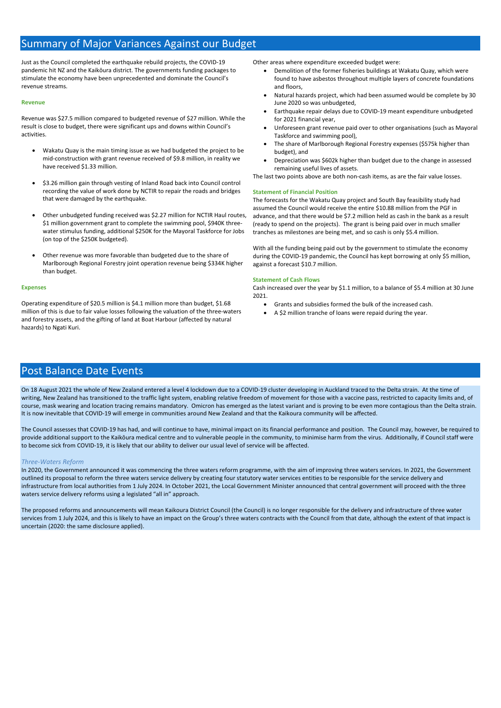# Summary of Major Variances Against our Budget

Just as the Council completed the earthquake rebuild projects, the COVID‐19 pandemic hit NZ and the Kaikōura district. The governments funding packages to stimulate the economy have been unprecedented and dominate the Council's revenue streams.

### **Revenue**

Revenue was \$27.5 million compared to budgeted revenue of \$27 million. While the result is close to budget, there were significant ups and downs within Council's activities.

- Wakatu Quay is the main timing issue as we had budgeted the project to be mid-construction with grant revenue received of \$9.8 million, in reality we have received \$1.33 million.
- \$3.26 million gain through vesting of Inland Road back into Council control recording the value of work done by NCTIR to repair the roads and bridges that were damaged by the earthquake.
- Other unbudgeted funding received was \$2.27 million for NCTIR Haul routes, \$1 million government grant to complete the swimming pool, \$940K threewater stimulus funding, additional \$250K for the Mayoral Taskforce for Jobs (on top of the \$250K budgeted).
- Other revenue was more favorable than budgeted due to the share of Marlborough Regional Forestry joint operation revenue being \$334K higher than budget.

### **Expenses**

Operating expenditure of \$20.5 million is \$4.1 million more than budget, \$1.68 million of this is due to fair value losses following the valuation of the three‐waters and forestry assets, and the gifting of land at Boat Harbour (affected by natural hazards) to Ngati Kuri.

Other areas where expenditure exceeded budget were:

- Demolition of the former fisheries buildings at Wakatu Quay, which were found to have asbestos throughout multiple layers of concrete foundations and floors,
- Natural hazards project, which had been assumed would be complete by 30 June 2020 so was unbudgeted,
- Earthquake repair delays due to COVID‐19 meant expenditure unbudgeted for 2021 financial year,
- Unforeseen grant revenue paid over to other organisations (such as Mayoral Taskforce and swimming pool),
- The share of Marlborough Regional Forestry expenses (\$575k higher than budget), and
- Depreciation was \$602k higher than budget due to the change in assessed remaining useful lives of assets.

The last two points above are both non‐cash items, as are the fair value losses.

### **Statement of Financial Position**

The forecasts for the Wakatu Quay project and South Bay feasibility study had assumed the Council would receive the entire \$10.88 million from the PGF in advance, and that there would be \$7.2 million held as cash in the bank as a result (ready to spend on the projects). The grant is being paid over in much smaller tranches as milestones are being met, and so cash is only \$5.4 million.

With all the funding being paid out by the government to stimulate the economy during the COVID‐19 pandemic, the Council has kept borrowing at only \$5 million, against a forecast \$10.7 million.

### **Statement of Cash Flows**

Cash increased over the year by \$1.1 million, to a balance of \$5.4 million at 30 June 2021.

- Grants and subsidies formed the bulk of the increased cash.
- A \$2 million tranche of loans were repaid during the year.

# Post Balance Date Events

On 18 August 2021 the whole of New Zealand entered a level 4 lockdown due to a COVID‐19 cluster developing in Auckland traced to the Delta strain. At the time of writing, New Zealand has transitioned to the traffic light system, enabling relative freedom of movement for those with a vaccine pass, restricted to capacity limits and, of course, mask wearing and location tracing remains mandatory. Omicron has emerged as the latest variant and is proving to be even more contagious than the Delta strain. It is now inevitable that COVID‐19 will emerge in communities around New Zealand and that the Kaikoura community will be affected.

The Council assesses that COVID‐19 has had, and will continue to have, minimal impact on its financial performance and position. The Council may, however, be required to provide additional support to the Kaikōura medical centre and to vulnerable people in the community, to minimise harm from the virus. Additionally, if Council staff were to become sick from COVID‐19, it is likely that our ability to deliver our usual level of service will be affected.

### *Three‐Waters Reform*

In 2020, the Government announced it was commencing the three waters reform programme, with the aim of improving three waters services. In 2021, the Government outlined its proposal to reform the three waters service delivery by creating four statutory water services entities to be responsible for the service delivery and infrastructure from local authorities from 1 July 2024. In October 2021, the Local Government Minister announced that central government will proceed with the three waters service delivery reforms using a legislated "all in" approach.

The proposed reforms and announcements will mean Kaikoura District Council (the Council) is no longer responsible for the delivery and infrastructure of three water services from 1 July 2024, and this is likely to have an impact on the Group's three waters contracts with the Council from that date, although the extent of that impact is uncertain (2020: the same disclosure applied).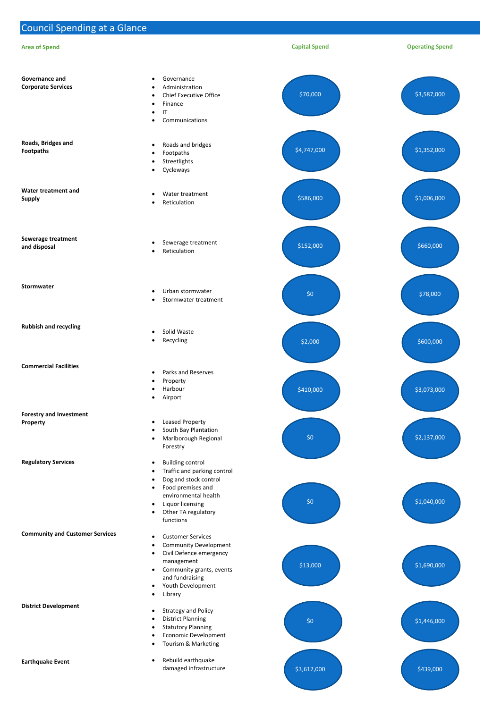Council Spending at a Glance

#### **Community and Customer Services**

**District Development** 

### **Earthquake Event**

- Customer Services
- Community Development
- Civil Defence emergency management
- Community grants, events and fundraising
- Youth Development
- Library
- Strategy and Policy
	- District Planning
	- Statutory Planning
	- Economic Development
	- Tourism & Marketing

| <b>Area of Spend</b>                               |                                                                                                                                                                                                                                                                    | <b>Capital Spend</b> | <b>Operating Spend</b> |
|----------------------------------------------------|--------------------------------------------------------------------------------------------------------------------------------------------------------------------------------------------------------------------------------------------------------------------|----------------------|------------------------|
| <b>Governance and</b><br><b>Corporate Services</b> | Governance<br>$\bullet$<br>Administration<br>$\bullet$<br><b>Chief Executive Office</b><br>$\bullet$<br>Finance<br>$\bullet$<br>$\mathsf{I}\mathsf{T}$<br>$\bullet$<br>Communications<br>$\bullet$                                                                 | \$70,000             | \$3,587,000            |
| Roads, Bridges and<br><b>Footpaths</b>             | Roads and bridges<br>$\bullet$<br>Footpaths<br>$\bullet$<br>Streetlights<br>$\bullet$<br>Cycleways<br>$\bullet$                                                                                                                                                    | \$4,747,000          | \$1,352,000            |
| Water treatment and<br><b>Supply</b>               | Water treatment<br>$\bullet$<br>Reticulation<br>$\bullet$                                                                                                                                                                                                          | \$586,000            | \$1,006,000            |
| Sewerage treatment<br>and disposal                 | Sewerage treatment<br>$\bullet$<br>Reticulation<br>$\bullet$                                                                                                                                                                                                       | \$152,000            | \$660,000              |
| Stormwater                                         | Urban stormwater<br>$\bullet$<br>Stormwater treatment<br>$\bullet$                                                                                                                                                                                                 | \$0                  | \$78,000               |
| <b>Rubbish and recycling</b>                       | Solid Waste<br>$\bullet$<br>Recycling<br>$\bullet$                                                                                                                                                                                                                 | \$2,000              | \$600,000              |
| <b>Commercial Facilities</b>                       | Parks and Reserves<br>$\bullet$<br>Property<br>$\bullet$<br>Harbour<br>$\bullet$<br>Airport<br>$\bullet$                                                                                                                                                           | \$410,000            | \$3,073,000            |
| <b>Forestry and Investment</b><br>Property         | <b>Leased Property</b><br>$\bullet$<br>South Bay Plantation<br>$\bullet$<br>Marlborough Regional<br>$\bullet$<br>Forestry                                                                                                                                          | \$0                  | \$2,137,000            |
| <b>Regulatory Services</b>                         | <b>Building control</b><br>$\bullet$<br>Traffic and parking control<br>$\bullet$<br>Dog and stock control<br>$\bullet$<br>Food premises and<br>$\bullet$<br>environmental health<br>Liquor licensing<br>$\bullet$<br>Other TA regulatory<br>$\bullet$<br>functions | \$0                  | \$1,040,000            |

 Rebuild earthquake damaged infrastructure